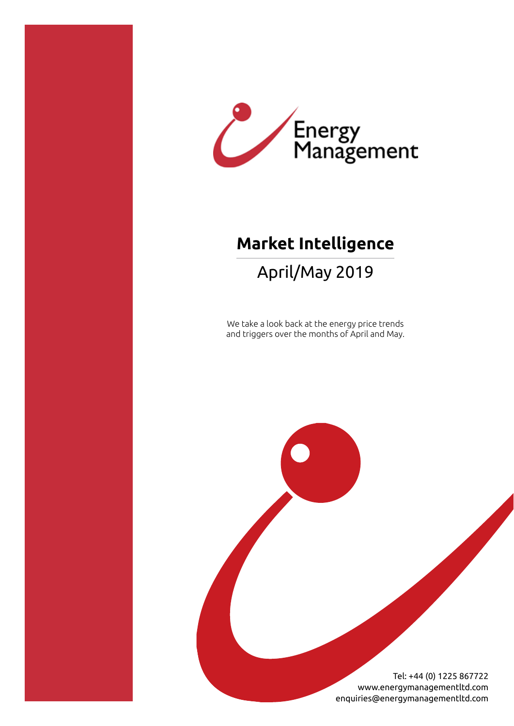

# **Market Intelligence**

## April/May 2019

We take a look back at the energy price trends and triggers over the months of April and May.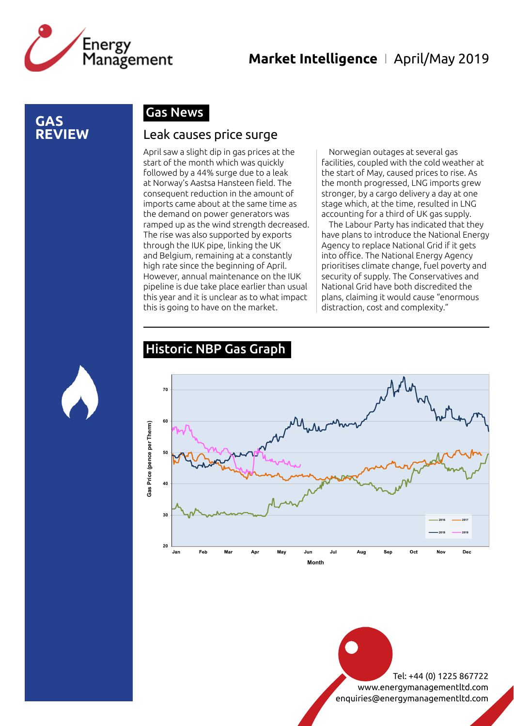

#### **GAS REVIEW**

#### Gas News

#### Leak causes price surge

April saw a slight dip in gas prices at the start of the month which was quickly followed by a 44% surge due to a leak at Norway's Aastsa Hansteen field. The consequent reduction in the amount of imports came about at the same time as the demand on power generators was ramped up as the wind strength decreased. The rise was also supported by exports through the IUK pipe, linking the UK and Belgium, remaining at a constantly high rate since the beginning of April. However, annual maintenance on the IUK pipeline is due take place earlier than usual this year and it is unclear as to what impact this is going to have on the market.

Norwegian outages at several gas facilities, coupled with the cold weather at the start of May, caused prices to rise. As the month progressed, LNG imports grew stronger, by a cargo delivery a day at one stage which, at the time, resulted in LNG accounting for a third of UK gas supply.

The Labour Party has indicated that they have plans to introduce the National Energy Agency to replace National Grid if it gets into office. The National Energy Agency prioritises climate change, fuel poverty and security of supply. The Conservatives and National Grid have both discredited the plans, claiming it would cause "enormous distraction, cost and complexity."

#### Historic NBP Gas Graph

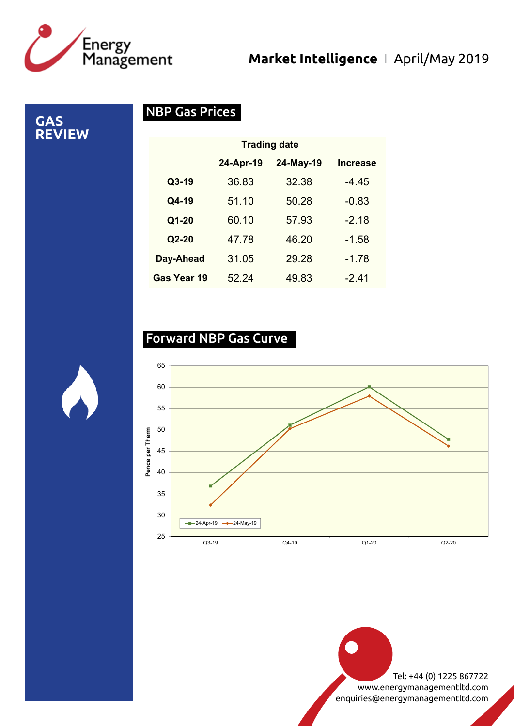

**GAS** 

**REVIEW**

## **Market Intelligence** I April/May 2019

NBP Gas Prices

|             | <b>Trading date</b> |           |                 |
|-------------|---------------------|-----------|-----------------|
|             | 24-Apr-19           | 24-May-19 | <b>Increase</b> |
| $Q3-19$     | 36.83               | 32.38     | $-4.45$         |
| Q4-19       | 51.10               | 50.28     | $-0.83$         |
| Q1-20       | 60.10               | 57.93     | $-2.18$         |
| $Q2-20$     | 47.78               | 46.20     | $-1.58$         |
| Day-Ahead   | 31.05               | 29.28     | $-1.78$         |
| Gas Year 19 | 52.24               | 49.83     | -2.41           |

## Forward NBP Gas Curve



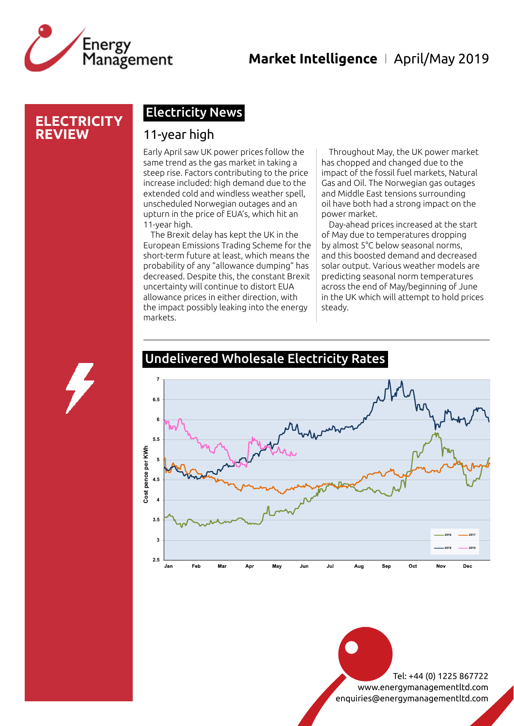

## **Market Intelligence** I April/May 2019

#### **ELECTRICITY REVIEW**

### Electricity News

#### 11-year high

Early April saw UK power prices follow the same trend as the gas market in taking a steep rise. Factors contributing to the price increase included: high demand due to the extended cold and windless weather spell, unscheduled Norwegian outages and an upturn in the price of EUA's, which hit an 11-year high.

The Brexit delay has kept the UK in the European Emissions Trading Scheme for the short-term future at least, which means the probability of any "allowance dumping" has decreased. Despite this, the constant Brexit uncertainty will continue to distort EUA allowance prices in either direction, with the impact possibly leaking into the energy markets.

Throughout May, the UK power market has chopped and changed due to the impact of the fossil fuel markets, Natural Gas and Oil. The Norwegian gas outages and Middle East tensions surrounding oil have both had a strong impact on the power market.

Day-ahead prices increased at the start of May due to temperatures dropping by almost 5°C below seasonal norms, and this boosted demand and decreased solar output. Various weather models are predicting seasonal norm temperatures across the end of May/beginning of June in the UK which will attempt to hold prices steady.



## Undelivered Wholesale Electricity Rates

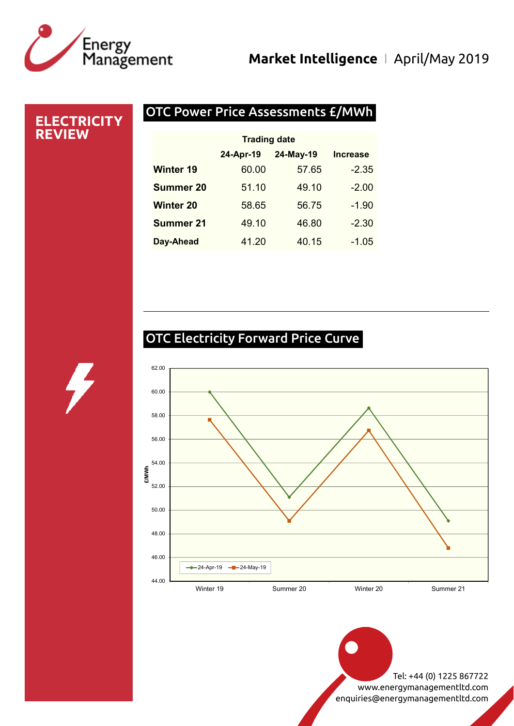# Energy<br>Management

## **Market Intelligence** I April/May 2019

#### OTC Power Price Assessments £/MWh **ELECTRICITY REVIEW** 24-Apr-19 24-May-19 Increase Winter 19 60.00 57.65 -2.35 **Summer 20** 51.10 49.10 -2.00 Winter 20 58.65 56.75 -1.90 **Summer 21** 49.10 46.80 -2.30 Trading date

| <b>OTC Electricity Forward Price Curve</b> |  |
|--------------------------------------------|--|
|                                            |  |

Day-Ahead 41.20 40.15 -1.05

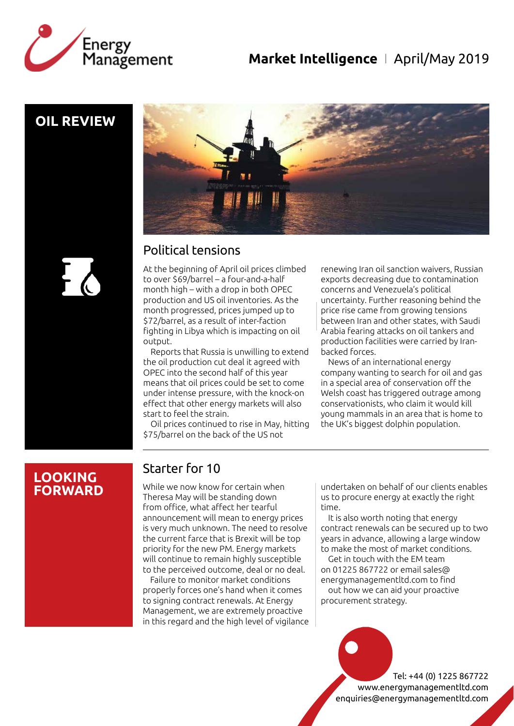



## **OIL REVIEW**



## Political tensions

At the beginning of April oil prices climbed to over \$69/barrel – a four-and-a-half month high – with a drop in both OPEC production and US oil inventories. As the month progressed, prices jumped up to \$72/barrel, as a result of inter-faction fighting in Libya which is impacting on oil output.

Reports that Russia is unwilling to extend the oil production cut deal it agreed with OPEC into the second half of this year means that oil prices could be set to come under intense pressure, with the knock-on effect that other energy markets will also start to feel the strain.

Oil prices continued to rise in May, hitting \$75/barrel on the back of the US not

renewing Iran oil sanction waivers, Russian exports decreasing due to contamination concerns and Venezuela's political uncertainty. Further reasoning behind the price rise came from growing tensions between Iran and other states, with Saudi Arabia fearing attacks on oil tankers and production facilities were carried by Iranbacked forces.

News of an international energy company wanting to search for oil and gas in a special area of conservation off the Welsh coast has triggered outrage among conservationists, who claim it would kill young mammals in an area that is home to the UK's biggest dolphin population.

#### **LOOKING FORWARD**

## Starter for 10

While we now know for certain when Theresa May will be standing down from office, what affect her tearful announcement will mean to energy prices is very much unknown. The need to resolve the current farce that is Brexit will be top priority for the new PM. Energy markets will continue to remain highly susceptible to the perceived outcome, deal or no deal.

Failure to monitor market conditions properly forces one's hand when it comes to signing contract renewals. At Energy Management, we are extremely proactive in this regard and the high level of vigilance undertaken on behalf of our clients enables us to procure energy at exactly the right time.

It is also worth noting that energy contract renewals can be secured up to two years in advance, allowing a large window to make the most of market conditions.

Get in touch with the EM team on 01225 867722 or email sales@ energymanagementltd.com to find out how we can aid your proactive procurement strategy.